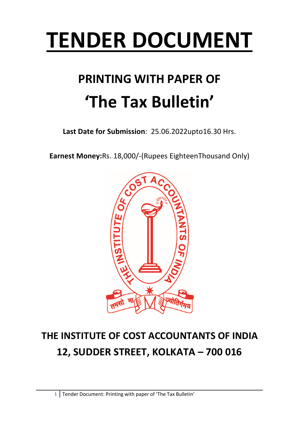# **TENDER DOCUMENT**

## **PRINTING WITH PAPER OF 'The Tax Bulletin'**

**Last Date for Submission**: 25.06.2022upto16.30 Hrs.

**Earnest Money:**Rs. 18,000/-(Rupees EighteenThousand Only)



## **THE INSTITUTE OF COST ACCOUNTANTS OF INDIA 12, SUDDER STREET, KOLKATA – 700 016**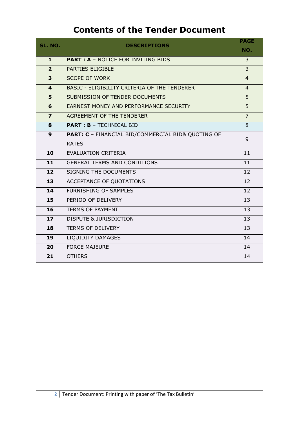### **Contents of the Tender Document**

| <b>SL. NO.</b>          | <b>DESCRIPTIONS</b>                                | <b>PAGE</b>    |
|-------------------------|----------------------------------------------------|----------------|
|                         |                                                    | NO.            |
| 1                       | <b>PART: A - NOTICE FOR INVITING BIDS</b>          | 3              |
| $\overline{2}$          | <b>PARTIES ELIGIBLE</b>                            | $\overline{3}$ |
| $\overline{\mathbf{3}}$ | <b>SCOPE OF WORK</b>                               | $\overline{4}$ |
| $\overline{\mathbf{4}}$ | BASIC - ELIGIBILITY CRITERIA OF THE TENDERER       | $\overline{4}$ |
| 5                       | SUBMISSION OF TENDER DOCUMENTS                     | $\overline{5}$ |
| 6                       | EARNEST MONEY AND PERFORMANCE SECURITY             | 5              |
| $\overline{\mathbf{z}}$ | AGREEMENT OF THE TENDERER                          | $\overline{7}$ |
| 8                       | <b>PART : B - TECHNICAL BID</b>                    | 8              |
| 9                       | PART: C - FINANCIAL BID/COMMERCIAL BID& QUOTING OF | 9              |
|                         | <b>RATES</b>                                       |                |
| 10                      | <b>EVALUATION CRITERIA</b>                         | 11             |
| 11                      | <b>GENERAL TERMS AND CONDITIONS</b>                | 11             |
| 12                      | <b>SIGNING THE DOCUMENTS</b>                       | 12             |
| 13                      | ACCEPTANCE OF QUOTATIONS                           | 12             |
| 14                      | <b>FURNISHING OF SAMPLES</b>                       | 12             |
| 15                      | PERIOD OF DELIVERY                                 | 13             |
| 16                      | <b>TERMS OF PAYMENT</b>                            | 13             |
| 17 <sup>2</sup>         | <b>DISPUTE &amp; JURISDICTION</b>                  | 13             |
| 18                      | <b>TERMS OF DELIVERY</b>                           | 13             |
| 19                      | LIQUIDITY DAMAGES                                  | 14             |
| 20                      | <b>FORCE MAJEURE</b>                               | 14             |
| 21                      | <b>OTHERS</b>                                      | 14             |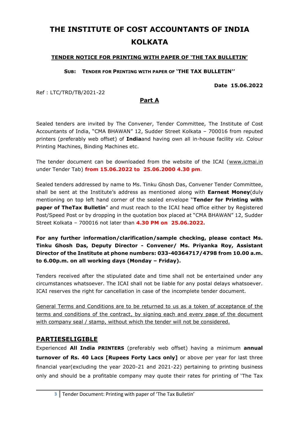## **THE INSTITUTE OF COST ACCOUNTANTS OF INDIA KOLKATA**

#### **TENDER NOTICE FOR PRINTING WITH PAPER OF 'THE TAX BULLETIN'**

**SUB: TENDER FOR PRINTING WITH PAPER OF 'THE TAX BULLETIN''**

**Date 15.06.2022**

Ref : LTC/TRD/TB/2021-22

#### **Part A**

Sealed tenders are invited by The Convener, Tender Committee, The Institute of Cost Accountants of India, "CMA BHAWAN" 12, Sudder Street Kolkata – 700016 from reputed printers (preferably web offset) of **India**and having own all in-house facility *viz.* Colour Printing Machines, Binding Machines etc.

The tender document can be downloaded from the website of the ICAI [\(www.icmai.in](http://www.icmai.in/) under Tender Tab) **from 15.06.2022 to 25.06.2000 4.30 pm**.

Sealed tenders addressed by name to Ms. Tinku Ghosh Das, Convener Tender Committee, shall be sent at the Institute's address as mentioned along with **Earnest Money**(duly mentioning on top left hand corner of the sealed envelope "**Tender for Printing with paper of TheTax Bulletin**" and must reach to the ICAI head office either by Registered Post/Speed Post or by dropping in the quotation box placed at "CMA BHAWAN" 12, Sudder Street Kolkata – 700016 not later than **4.30 PM on 25.06.2022.**

**For any further information/clarification/sample checking, please contact Ms. Tinku Ghosh Das, Deputy Director - Convener/ Ms. Priyanka Roy, Assistant Director of the Institute at phone numbers: 033-40364717/4798 from 10.00 a.m. to 6.00p.m. on all working days (Monday – Friday).** 

Tenders received after the stipulated date and time shall not be entertained under any circumstances whatsoever. The ICAI shall not be liable for any postal delays whatsoever. ICAI reserves the right for cancellation in case of the incomplete tender document.

General Terms and Conditions are to be returned to us as a token of acceptance of the terms and conditions of the contract, by signing each and every page of the document with company seal / stamp, without which the tender will not be considered.

#### **PARTIESELIGIBLE**

Experienced **All India PRINTERS** (preferably web offset) having a minimum **annual turnover of Rs. 40 Lacs [Rupees Forty Lacs only]** or above per year for last three financial year(excluding the year 2020-21 and 2021-22) pertaining to printing business only and should be a profitable company may quote their rates for printing of 'The Tax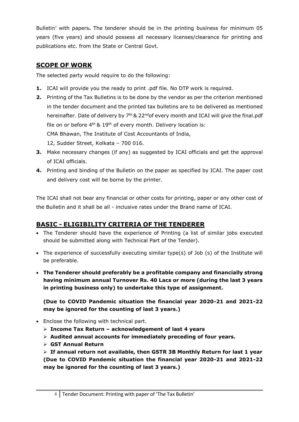Bulletin' with papers**.** The tenderer should be in the printing business for minimum 05 years (five years) and should possess all necessary licenses/clearance for printing and publications etc. from the State or Central Govt.

#### **SCOPE OF WORK**

The selected party would require to do the following:

- **1.** ICAI will provide you the ready to print .pdf file. No DTP work is required.
- **2.** Printing of the Tax Bulletins is to be done by the vendor as per the criterion mentioned in the tender document and the printed tax bulletins are to be delivered as mentioned hereinafter. Date of delivery by 7<sup>th</sup> & 22<sup>nd</sup>of every month and ICAI will give the final.pdf file on or before  $4<sup>th</sup>$  &  $19<sup>th</sup>$  of every month. Delivery location is: CMA Bhawan, The Institute of Cost Accountants of India,

12, Sudder Street, Kolkata – 700 016.

- **3.** Make necessary changes (if any) as suggested by ICAI officials and get the approval of ICAI officials.
- **4.** Printing and binding of the Bulletin on the paper as specified by ICAI. The paper cost and delivery cost will be borne by the printer.

The ICAI shall not bear any financial or other costs for printing, paper or any other cost of the Bulletin and it shall be all - inclusive rates under the Brand name of ICAI.

### **BASIC - ELIGIBILITY CRITERIA OF THE TENDERER**

- The Tenderer should have the experience of Printing (a list of similar jobs executed should be submitted along with Technical Part of the Tender).
- The experience of successfully executing similar type(s) of Job (s) of the Institute will be preferable.
- **The Tenderer should preferably be a profitable company and financially strong having minimum annual Turnover Rs. 40 Lacs or more (during the last 3 years in printing business only) to undertake this type of assignment.**

**(Due to COVID Pandemic situation the financial year 2020-21 and 2021-22 may be ignored for the counting of last 3 years.)**

- Enclose the following with technical part.
	- **Income Tax Return – acknowledgement of last 4 years**
	- **Audited annual accounts for immediately preceding of four years.**
	- **GST Annual Return**

 **If annual return not available, then GSTR 3B Monthly Return for last 1 year (Due to COVID Pandemic situation the financial year 2020-21 and 2021-22 may be ignored for the counting of last 3 years.)**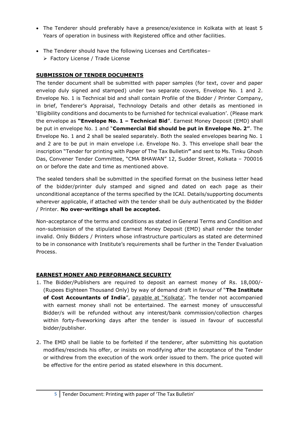- The Tenderer should preferably have a presence/existence in Kolkata with at least 5 Years of operation in business with Registered office and other facilities.
- The Tenderer should have the following Licenses and Certificates–
	- Factory License / Trade License

#### **SUBMISSION OF TENDER DOCUMENTS**

The tender document shall be submitted with paper samples (for text, cover and paper envelop duly signed and stamped) under two separate covers, Envelope No. 1 and 2. Envelope No. 1 is Technical bid and shall contain Profile of the Bidder / Printer Company, in brief, Tenderer's Appraisal, Technology Details and other details as mentioned in 'Eligibility conditions and documents to be furnished for technical evaluation'. (Please mark the envelope as **"Envelope No. 1 – Technical Bid**". Earnest Money Deposit (EMD) shall be put in envelope No. 1 and "**Commercial Bid should be put in Envelope No. 2"**. The Envelope No. 1 and 2 shall be sealed separately. Both the sealed envelopes bearing No. 1 and 2 are to be put in main envelope i.e. Envelope No. 3. This envelope shall bear the inscription "Tender for printing with Paper of The Tax Bulletin**"** and sent to Ms. Tinku Ghosh Das, Convener Tender Committee, "CMA BHAWAN" 12, Sudder Street, Kolkata – 700016 on or before the date and time as mentioned above.

The sealed tenders shall be submitted in the specified format on the business letter head of the bidder/printer duly stamped and signed and dated on each page as their unconditional acceptance of the terms specified by the ICAI. Details/supporting documents wherever applicable, if attached with the tender shall be duly authenticated by the Bidder / Printer. **No over-writings shall be accepted.**

Non-acceptance of the terms and conditions as stated in General Terms and Condition and non-submission of the stipulated Earnest Money Deposit (EMD) shall render the tender invalid. Only Bidders / Printers whose infrastructure particulars as stated are determined to be in consonance with Institute's requirements shall be further in the Tender Evaluation Process.

#### **EARNEST MONEY AND PERFORMANCE SECURITY**

- 1. The Bidder/Publishers are required to deposit an earnest money of Rs. 18,000/- (Rupees Eighteen Thousand Only) by way of demand draft in favour of "**The Institute**  of Cost Accountants of India", payable at "Kolkata'. The tender not accompanied with earnest money shall not be entertained. The earnest money of unsuccessful Bidder/s will be refunded without any interest/bank commission/collection charges within forty-fiveworking days after the tender is issued in favour of successful bidder/publisher.
- 2. The EMD shall be liable to be forfeited if the tenderer, after submitting his quotation modifies/rescinds his offer, or insists on modifying after the acceptance of the Tender or withdrew from the execution of the work order issued to them. The price quoted will be effective for the entire period as stated elsewhere in this document.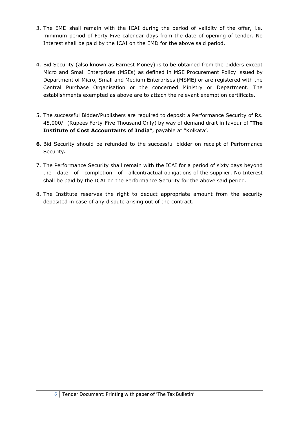- 3. The EMD shall remain with the ICAI during the period of validity of the offer, i.e. minimum period of Forty Five calendar days from the date of opening of tender. No Interest shall be paid by the ICAI on the EMD for the above said period.
- 4. Bid Security (also known as Earnest Money) is to be obtained from the bidders except Micro and Small Enterprises (MSEs) as defined in MSE Procurement Policy issued by Department of Micro, Small and Medium Enterprises (MSME) or are registered with the Central Purchase Organisation or the concerned Ministry or Department. The establishments exempted as above are to attach the relevant exemption certificate.
- 5. The successful Bidder/Publishers are required to deposit a Performance Security of Rs. 45,000/- (Rupees Forty-Five Thousand Only) by way of demand draft in favour of "**The Institute of Cost Accountants of India**", payable at "Kolkata'.
- **6.** Bid Security should be refunded to the successful bidder on receipt of Performance Security**.**
- 7. The Performance Security shall remain with the ICAI for a period of sixty days beyond the date of completion of allcontractual obligations of the supplier. No Interest shall be paid by the ICAI on the Performance Security for the above said period.
- 8. The Institute reserves the right to deduct appropriate amount from the security deposited in case of any dispute arising out of the contract.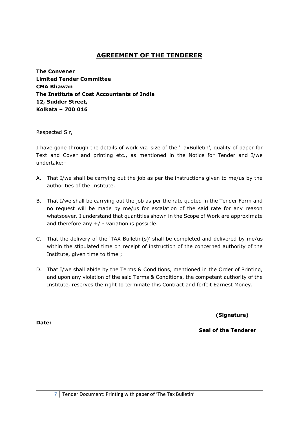#### **AGREEMENT OF THE TENDERER**

**The Convener Limited Tender Committee CMA Bhawan The Institute of Cost Accountants of India 12, Sudder Street, Kolkata – 700 016**

Respected Sir,

I have gone through the details of work viz. size of the 'TaxBulletin', quality of paper for Text and Cover and printing etc., as mentioned in the Notice for Tender and I/we undertake:-

- A. That I/we shall be carrying out the job as per the instructions given to me/us by the authorities of the Institute.
- B. That I/we shall be carrying out the job as per the rate quoted in the Tender Form and no request will be made by me/us for escalation of the said rate for any reason whatsoever. I understand that quantities shown in the Scope of Work are approximate and therefore any  $+/$  - variation is possible.
- C. That the delivery of the 'TAX Bulletin(s)' shall be completed and delivered by me/us within the stipulated time on receipt of instruction of the concerned authority of the Institute, given time to time ;
- D. That I/we shall abide by the Terms & Conditions, mentioned in the Order of Printing, and upon any violation of the said Terms & Conditions, the competent authority of the Institute, reserves the right to terminate this Contract and forfeit Earnest Money.

**(Signature)**

**Seal of the Tenderer**

**Date:**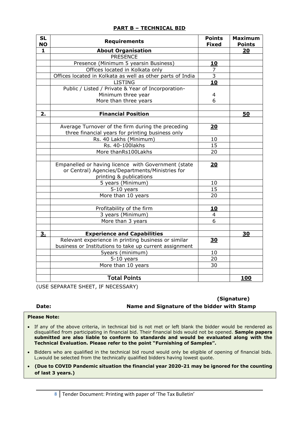|  |  |  | <b>PART B - TECHNICAL BID</b> |  |
|--|--|--|-------------------------------|--|
|--|--|--|-------------------------------|--|

| <b>SL</b><br><b>NO</b> | <b>Requirements</b>                                        | <b>Points</b><br><b>Fixed</b> | <b>Maximum</b><br><b>Points</b> |
|------------------------|------------------------------------------------------------|-------------------------------|---------------------------------|
| 1                      | <b>About Organisation</b>                                  |                               | 20                              |
|                        | <b>PRESENCE</b>                                            |                               |                                 |
|                        | Presence (Minimum 5 yearsin Business)                      | <u>10</u>                     |                                 |
|                        | Offices located in Kolkata only                            | $\overline{7}$                |                                 |
|                        | Offices located in Kolkata as well as other parts of India | $\overline{3}$                |                                 |
|                        | <b>LISTING</b>                                             | 10                            |                                 |
|                        | Public / Listed / Private & Year of Incorporation-         |                               |                                 |
|                        | Minimum three year                                         | 4                             |                                 |
|                        | More than three years                                      | 6                             |                                 |
|                        |                                                            |                               |                                 |
| 2.                     | <b>Financial Position</b>                                  |                               | 50                              |
|                        |                                                            |                               |                                 |
|                        | Average Turnover of the firm during the preceding          | 20                            |                                 |
|                        | three financial years for printing business only           |                               |                                 |
|                        | Rs. 40 Lakhs (Minimum)                                     | 10                            |                                 |
|                        | Rs. 40-100lakhs                                            | 15                            |                                 |
|                        | More thanRs100Lakhs                                        | 20                            |                                 |
|                        |                                                            |                               |                                 |
|                        | Empanelled or having licence with Government (state        | 20                            |                                 |
|                        | or Central) Agencies/Departments/Ministries for            |                               |                                 |
|                        | printing & publications                                    |                               |                                 |
|                        | 5 years (Minimum)                                          | 10                            |                                 |
|                        | $5-10$ years                                               | 15                            |                                 |
|                        | More than 10 years                                         | 20                            |                                 |
|                        |                                                            |                               |                                 |
|                        | Profitability of the firm                                  | 10                            |                                 |
|                        | 3 years (Minimum)                                          | 4                             |                                 |
|                        | More than 3 years                                          | 6                             |                                 |
|                        |                                                            |                               |                                 |
| 3.                     | <b>Experience and Capabilities</b>                         |                               | 30                              |
|                        | Relevant experience in printing business or similar        | <b>30</b>                     |                                 |
|                        | business or Institutions to take up current assignment     |                               |                                 |
|                        | <b>5years (minimum)</b>                                    | 10                            |                                 |
|                        | $5-10$ years                                               | 20                            |                                 |
|                        | More than 10 years                                         | 30                            |                                 |
|                        |                                                            |                               |                                 |
|                        | <b>Total Points</b>                                        |                               | <u>100</u>                      |

(USE SEPARATE SHEET, IF NECESSARY)

**(Signature) Date: Name and Signature of the bidder with Stamp**

#### **Please Note:**

٦

- $\bf \text{T}$  **e**chnical Evaluation. Please refer to the point "Furnishing of Samples". If any of the above criteria, in technical bid is not met or left blank the bidder would be rendered as disqualified from participating in financial bid. Their financial bids would not be opened. **Sample papers submitted are also liable to conform to standards and would be evaluated along with the**
- $\mathsf{L}_1$ would be selected from the technically qualified bidders having lowest quote. • Bidders who are qualified in the technical bid round would only be eligible of opening of financial bids.
- **(Due to COVID Pandemic situation the financial year 2020-21 may be ignored for the counting of last 3 years.)**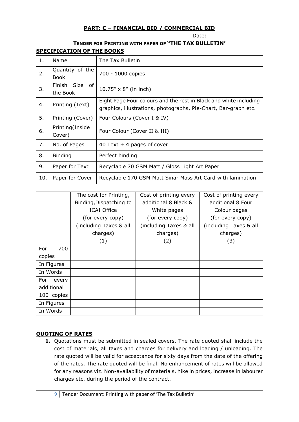#### **PART: C – FINANCIAL BID / COMMERCIAL BID**

Date:

#### **TENDER FOR PRINTING WITH PAPER OF "THE TAX BULLETIN' SPECIFICATION OF THE BOOKS**

| 1.  | <b>Name</b>                    | The Tax Bulletin                                                                                                                     |
|-----|--------------------------------|--------------------------------------------------------------------------------------------------------------------------------------|
| 2.  | Quantity of the<br><b>Book</b> | 700 - 1000 copies                                                                                                                    |
| 3.  | Finish Size<br>of<br>the Book  | 10.75" x 8" (in inch)                                                                                                                |
| 4.  | Printing (Text)                | Eight Page Four colours and the rest in Black and white including<br>graphics, illustrations, photographs, Pie-Chart, Bar-graph etc. |
| 5.  | Printing (Cover)               | Four Colours (Cover I & IV)                                                                                                          |
| 6.  | Printing(Inside<br>Cover)      | Four Colour (Cover II & III)                                                                                                         |
| 7.  | No. of Pages                   | 40 Text $+$ 4 pages of cover                                                                                                         |
| 8.  | <b>Binding</b>                 | Perfect binding                                                                                                                      |
| 9.  | Paper for Text                 | Recyclable 70 GSM Matt / Gloss Light Art Paper                                                                                       |
| 10. | Paper for Cover                | Recyclable 170 GSM Matt Sinar Mass Art Card with lamination                                                                          |

|              | The cost for Printing,  | Cost of printing every | Cost of printing every |
|--------------|-------------------------|------------------------|------------------------|
|              | Binding, Dispatching to | additional 8 Black &   | additional 8 Four      |
|              | <b>ICAI Office</b>      | White pages            | Colour pages           |
|              | (for every copy)        | (for every copy)       | (for every copy)       |
|              | (including Taxes & all  | (including Taxes & all | (including Taxes & all |
|              | charges)                | charges)               | charges)               |
|              | (1)                     | (2)                    | (3)                    |
| 700<br>For   |                         |                        |                        |
| copies       |                         |                        |                        |
| In Figures   |                         |                        |                        |
| In Words     |                         |                        |                        |
| For<br>every |                         |                        |                        |
| additional   |                         |                        |                        |
| 100 copies   |                         |                        |                        |
| In Figures   |                         |                        |                        |
| In Words     |                         |                        |                        |

#### **QUOTING OF RATES**

**1.** Quotations must be submitted in sealed covers. The rate quoted shall include the cost of materials, all taxes and charges for delivery and loading / unloading. The rate quoted will be valid for acceptance for sixty days from the date of the offering of the rates. The rate quoted will be final. No enhancement of rates will be allowed for any reasons viz. Non-availability of materials, hike in prices, increase in labourer charges etc. during the period of the contract.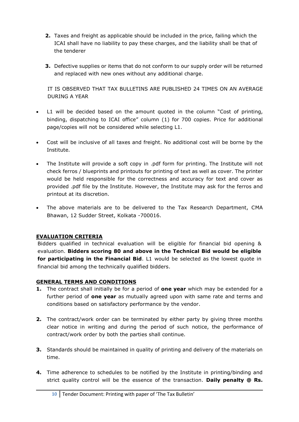- **2.** Taxes and freight as applicable should be included in the price, failing which the ICAI shall have no liability to pay these charges, and the liability shall be that of the tenderer
- **3.** Defective supplies or items that do not conform to our supply order will be returned and replaced with new ones without any additional charge.

IT IS OBSERVED THAT TAX BULLETINS ARE PUBLISHED 24 TIMES ON AN AVERAGE DURING A YEAR

- L1 will be decided based on the amount quoted in the column "Cost of printing, binding, dispatching to ICAI office" column (1) for 700 copies. Price for additional page/copies will not be considered while selecting L1.
- Cost will be inclusive of all taxes and freight. No additional cost will be borne by the Institute.
- The Institute will provide a soft copy in .pdf form for printing. The Institute will not check ferros / blueprints and printouts for printing of text as well as cover. The printer would be held responsible for the correctness and accuracy for text and cover as provided .pdf file by the Institute. However, the Institute may ask for the ferros and printout at its discretion.
- The above materials are to be delivered to the Tax Research Department, CMA Bhawan, 12 Sudder Street, Kolkata -700016.

#### **EVALUATION CRITERIA**

Bidders qualified in technical evaluation will be eligible for financial bid opening & evaluation. **Bidders scoring 80 and above in the Technical Bid would be eligible for participating in the Financial Bid**. L1 would be selected as the lowest quote in financial bid among the technically qualified bidders.

#### **GENERAL TERMS AND CONDITIONS**

- **1.** The contract shall initially be for a period of **one year** which may be extended for a further period of **one year** as mutually agreed upon with same rate and terms and conditions based on satisfactory performance by the vendor.
- **2.** The contract/work order can be terminated by either party by giving three months clear notice in writing and during the period of such notice, the performance of contract/work order by both the parties shall continue.
- **3.** Standards should be maintained in quality of printing and delivery of the materials on time.
- **4.** Time adherence to schedules to be notified by the Institute in printing/binding and strict quality control will be the essence of the transaction. **Daily penalty @ Rs.**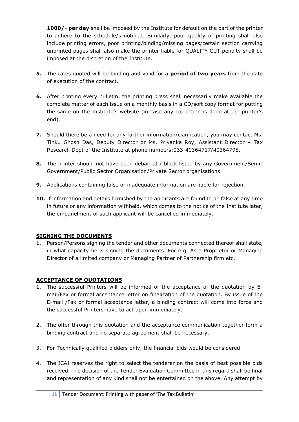**1000/- per day** shall be imposed by the Institute for default on the part of the printer to adhere to the schedule/s notified. Similarly, poor quality of printing shall also include printing errors, poor printing/binding/missing pages/certain section carrying unprinted pages shall also make the printer liable for QUALITY CUT penalty shall be imposed at the discretion of the Institute.

- **5.** The rates quoted will be binding and valid for a **period of two years** from the date of execution of the contract.
- **6.** After printing every bulletin, the printing press shall necessarily make available the complete matter of each issue on a monthly basis in a CD/soft copy format for putting the same on the Institute's website (in case any correction is done at the printer's end).
- **7.** Should there be a need for any further information/clarification, you may contact Ms. Tinku Ghosh Das, Deputy Director or Ms. Priyanka Roy, Assistant Director – Tax Research Dept of the Institute at phone numbers:033-40364717/40364798.
- **8.** The printer should not have been debarred / black listed by any Government/Semi-Government/Public Sector Organisation/Private Sector organisations.
- **9.** Applications containing false or inadequate information are liable for rejection.
- **10.** If information and details furnished by the applicants are found to be false at any time in future or any information withheld, which comes to the notice of the Institute later, the empanelment of such applicant will be cancelled immediately.

#### **SIGNING THE DOCUMENTS**

1. Person/Persons signing the tender and other documents connected thereof shall state, in what capacity he is signing the documents. For e.g. As a Proprietor or Managing Director of a limited company or Managing Partner of Partnership firm etc.

#### **ACCEPTANCE OF QUOTATIONS**

- 1. The successful Printers will be informed of the acceptance of the quotation by Email/Fax or formal acceptance letter on finalization of the quotation. By issue of the E-mail /Fax or formal acceptance letter, a binding contract will come into force and the successful Printers have to act upon immediately.
- 2. The offer through this quotation and the acceptance communication together form a binding contract and no separate agreement shall be necessary.
- 3. For Technically qualified bidders only, the financial bids would be considered.
- 4. The ICAI reserves the right to select the tenderer on the basis of best possible bids received. The decision of the Tender Evaluation Committee in this regard shall be final and representation of any kind shall not be entertained on the above. Any attempt by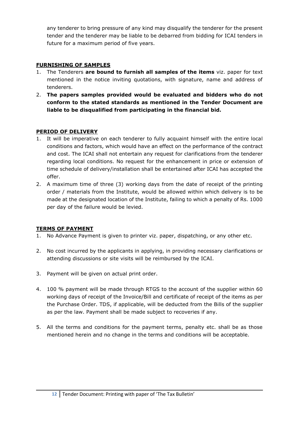any tenderer to bring pressure of any kind may disqualify the tenderer for the present tender and the tenderer may be liable to be debarred from bidding for ICAI tenders in future for a maximum period of five years.

#### **FURNISHING OF SAMPLES**

- 1. The Tenderers **are bound to furnish all samples of the items** viz. paper for text mentioned in the notice inviting quotations, with signature, name and address of tenderers.
- 2. **The papers samples provided would be evaluated and bidders who do not conform to the stated standards as mentioned in the Tender Document are liable to be disqualified from participating in the financial bid.**

#### **PERIOD OF DELIVERY**

- 1. It will be imperative on each tenderer to fully acquaint himself with the entire local conditions and factors, which would have an effect on the performance of the contract and cost. The ICAI shall not entertain any request for clarifications from the tenderer regarding local conditions. No request for the enhancement in price or extension of time schedule of delivery/installation shall be entertained after ICAI has accepted the offer.
- 2. A maximum time of three (3) working days from the date of receipt of the printing order / materials from the Institute, would be allowed within which delivery is to be made at the designated location of the Institute, failing to which a penalty of Rs. 1000 per day of the failure would be levied.

#### **TERMS OF PAYMENT**

- 1. No Advance Payment is given to printer viz. paper, dispatching, or any other etc.
- 2. No cost incurred by the applicants in applying, in providing necessary clarifications or attending discussions or site visits will be reimbursed by the ICAI.
- 3. Payment will be given on actual print order.
- 4. 100 % payment will be made through RTGS to the account of the supplier within 60 working days of receipt of the Invoice/Bill and certificate of receipt of the items as per the Purchase Order. TDS, if applicable, will be deducted from the Bills of the supplier as per the law. Payment shall be made subject to recoveries if any.
- 5. All the terms and conditions for the payment terms, penalty etc. shall be as those mentioned herein and no change in the terms and conditions will be acceptable.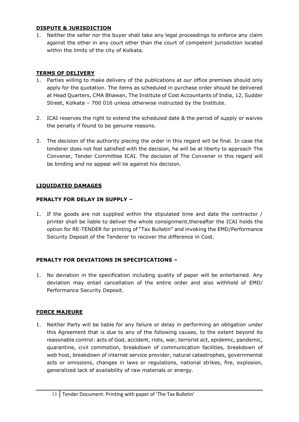#### **DISPUTE & JURISDICTION**

1. Neither the seller nor the buyer shall take any legal proceedings to enforce any claim against the other in any court other than the court of competent jurisdiction located within the limits of the city of Kolkata.

#### **TERMS OF DELIVERY**

- 1. Parties willing to make delivery of the publications at our office premises should only apply for the quotation. The items as scheduled in purchase order should be delivered at Head Quarters, CMA Bhawan, The Institute of Cost Accountants of India, 12, Sudder Street, Kolkata – 700 016 unless otherwise instructed by the Institute.
- 2. ICAI reserves the right to extend the scheduled date & the period of supply or waives the penalty if found to be genuine reasons.
- 3. The decision of the authority placing the order in this regard will be final. In case the tenderer does not feel satisfied with the decision, he will be at liberty to approach The Convener, Tender Committee ICAI. The decision of The Convener in this regard will be binding and no appeal will lie against his decision.

#### **LIQUIDATED DAMAGES**

#### **PENALTY FOR DELAY IN SUPPLY –**

1. If the goods are not supplied within the stipulated time and date the contractor / printer shall be liable to deliver the whole consignment,thereafter the ICAI holds the option for RE-TENDER for printing of "Tax Bulletin" and invoking the EMD/Performance Security Deposit of the Tenderer to recover the difference in Cost.

#### **PENALTY FOR DEVIATIONS IN SPECIFICATIONS –**

1. No deviation in the specification including quality of paper will be entertained. Any deviation may entail cancellation of the entire order and also withhold of EMD/ Performance Security Deposit.

#### **FORCE MAJEURE**

1. Neither Party will be liable for any failure or delay in performing an obligation under this Agreement that is due to any of the following causes, to the extent beyond its reasonable control: acts of God, accident, riots, war, terrorist act, epidemic, pandemic, quarantine, civil commotion, breakdown of communication facilities, breakdown of web host, breakdown of internet service provider, natural catastrophes, governmental acts or omissions, changes in laws or regulations, national strikes, fire, explosion, generalized lack of availability of raw materials or energy.